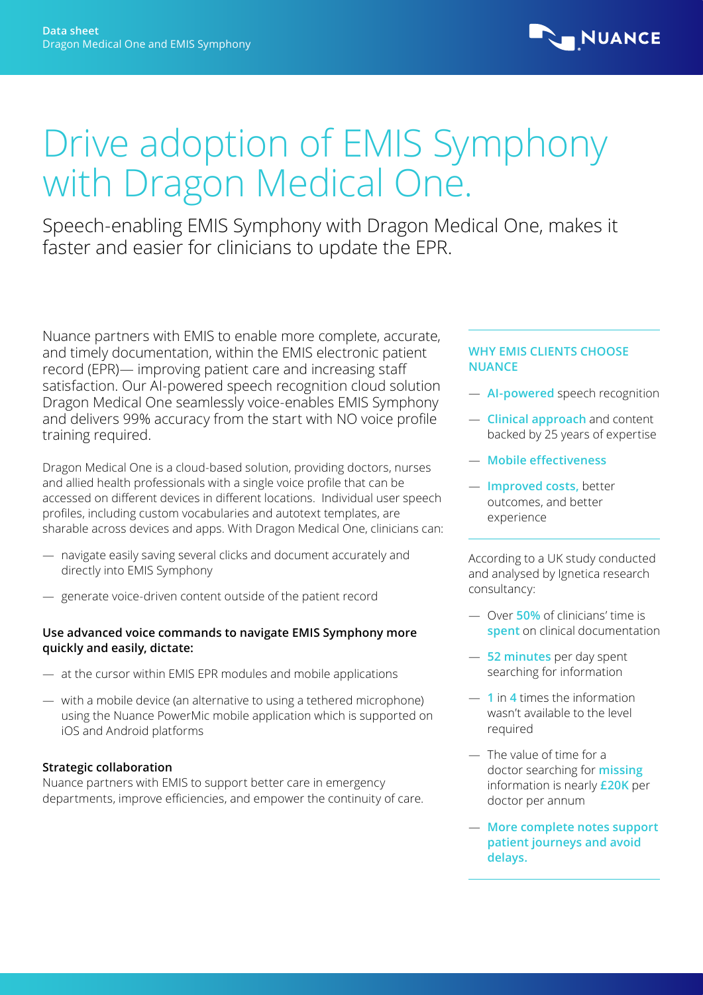

# Drive adoption of EMIS Symphony with Dragon Medical One.

Speech-enabling EMIS Symphony with Dragon Medical One, makes it faster and easier for clinicians to update the EPR.

Nuance partners with EMIS to enable more complete, accurate, and timely documentation, within the EMIS electronic patient record (EPR)— improving patient care and increasing staff satisfaction. Our AI-powered speech recognition cloud solution Dragon Medical One seamlessly voice-enables EMIS Symphony and delivers 99% accuracy from the start with NO voice profile training required.

Dragon Medical One is a cloud-based solution, providing doctors, nurses and allied health professionals with a single voice profile that can be accessed on different devices in different locations. Individual user speech profiles, including custom vocabularies and autotext templates, are sharable across devices and apps. With Dragon Medical One, clinicians can:

- navigate easily saving several clicks and document accurately and directly into EMIS Symphony
- generate voice-driven content outside of the patient record

## **Use advanced voice commands to navigate EMIS Symphony more quickly and easily, dictate:**

- at the cursor within EMIS EPR modules and mobile applications
- with a mobile device (an alternative to using a tethered microphone) using the Nuance PowerMic mobile application which is supported on iOS and Android platforms

## **Strategic collaboration**

Nuance partners with EMIS to support better care in emergency departments, improve efficiencies, and empower the continuity of care.

#### **WHY EMIS CLIENTS CHOOSE NUANCE**

- **AI-powered** speech recognition
- **Clinical approach** and content backed by 25 years of expertise
- **Mobile effectiveness**
- **Improved costs,** better outcomes, and better experience

According to a UK study conducted and analysed by Ignetica research consultancy:

- Over **50%** of clinicians' time is **spent** on clinical documentation
- **52 minutes** per day spent searching for information
- **1** in **4** times the information wasn't available to the level required
- The value of time for a doctor searching for **missing** information is nearly **£20K** per doctor per annum
- **More complete notes support patient journeys and avoid delays.**